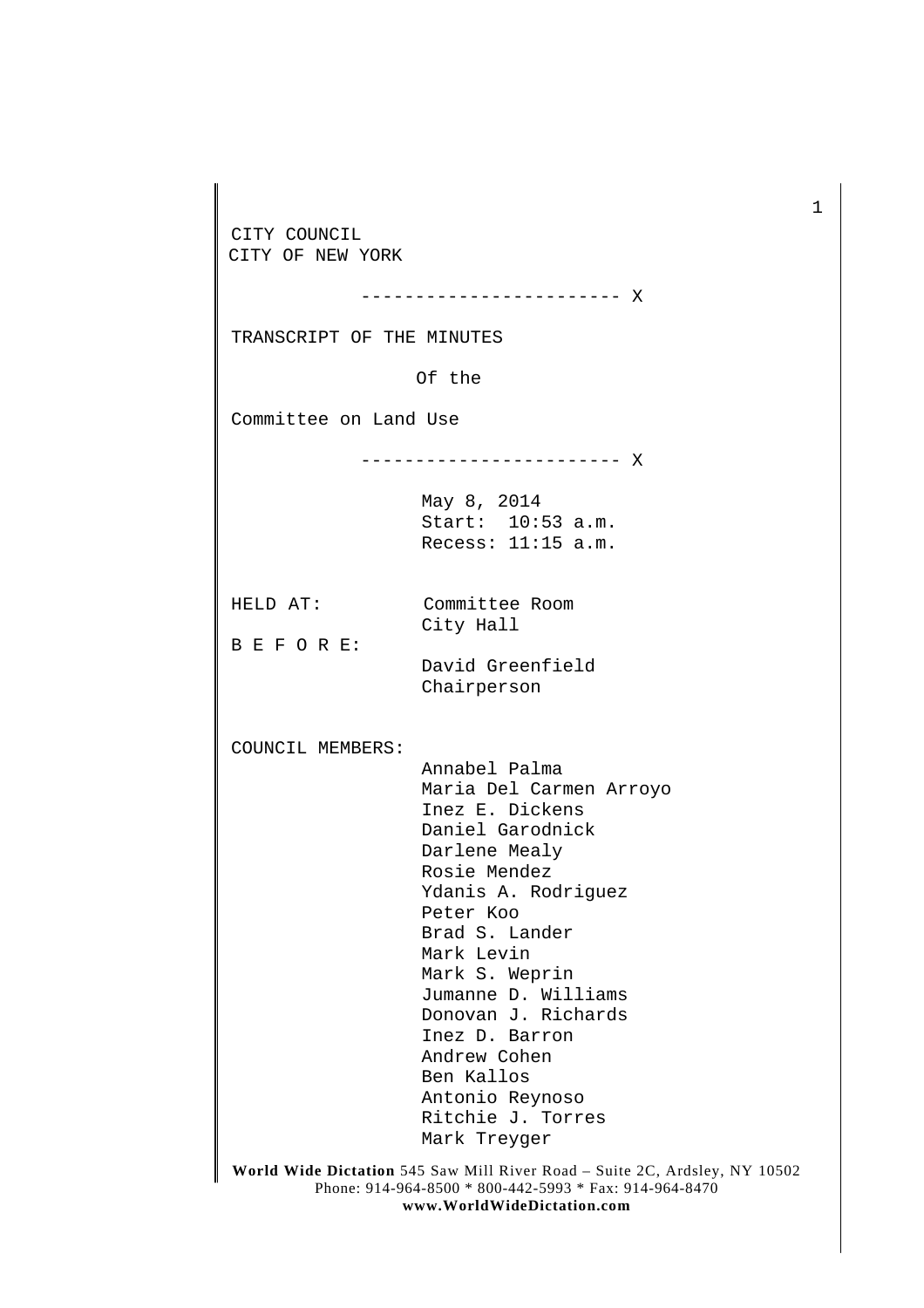CITY COUNCIL CITY OF NEW YORK

------------------------ X

TRANSCRIPT OF THE MINUTES

Of the

Committee on Land Use

------------------------ X

May 8, 2014 Start: 10:53 a.m. Recess: 11:15 a.m.

HELD AT: Committee Room City Hall

B E F O R E:

David Greenfield

Chairperson

COUNCIL MEMBERS:

Annabel Palma Maria Del Carmen Arroyo Inez E. Dickens Daniel Garodnick Darlene Mealy Rosie Mendez Ydanis A. Rodriguez Peter Koo Brad S. Lander Mark Levin Mark S. Weprin Jumanne D. Williams Donovan J. Richards Inez D. Barron Andrew Cohen Ben Kallos Antonio Reynoso Ritchie J. Torres Mark Treyger

**World Wide Dictation** 545 Saw Mill River Road – Suite 2C, Ardsley, NY 10502 Phone: 914-964-8500 \* 800-442-5993 \* Fax: 914-964-8470 **www.WorldWideDictation.com**

1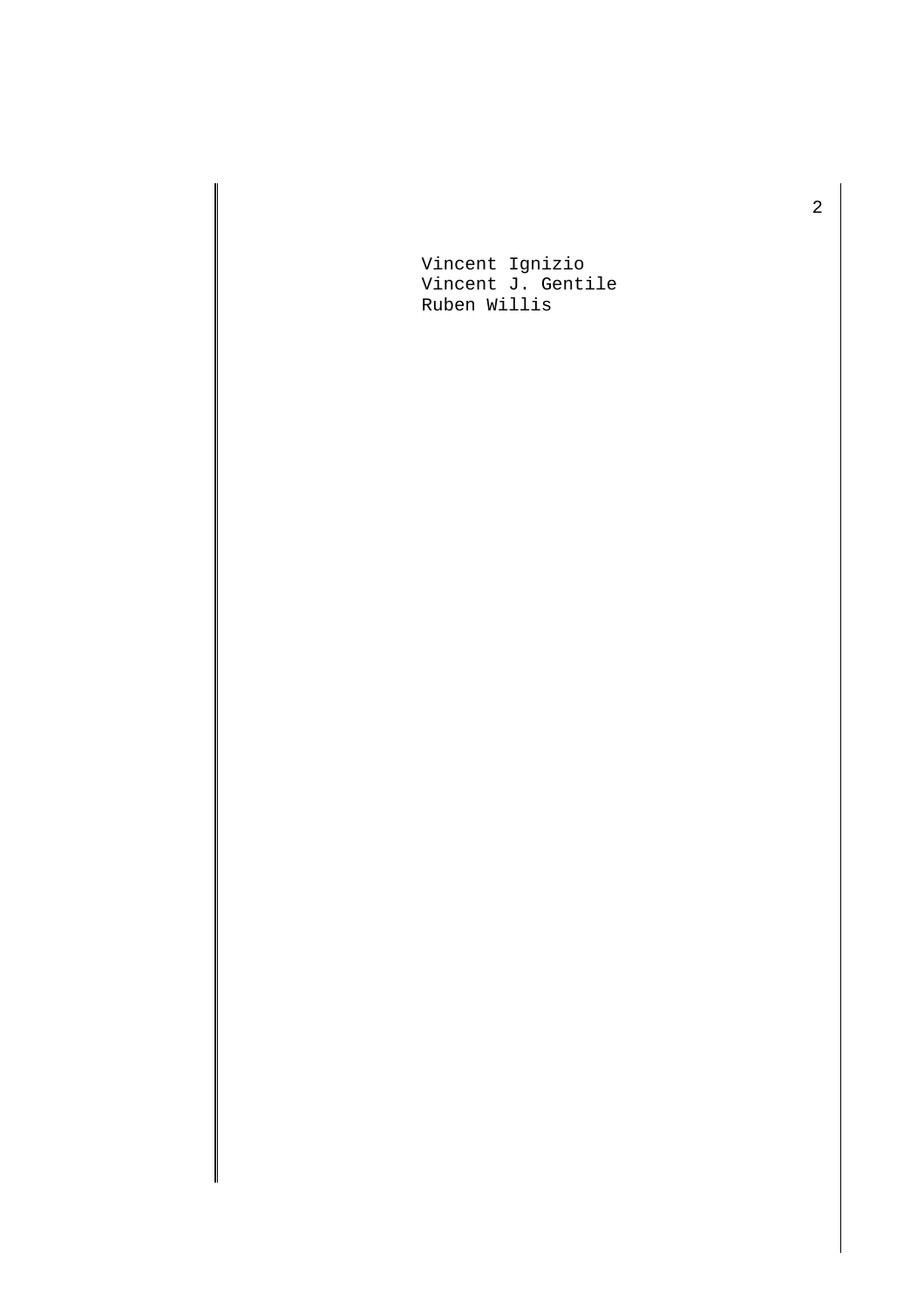Vincent Ignizio Vincent J. Gentile Ruben Willis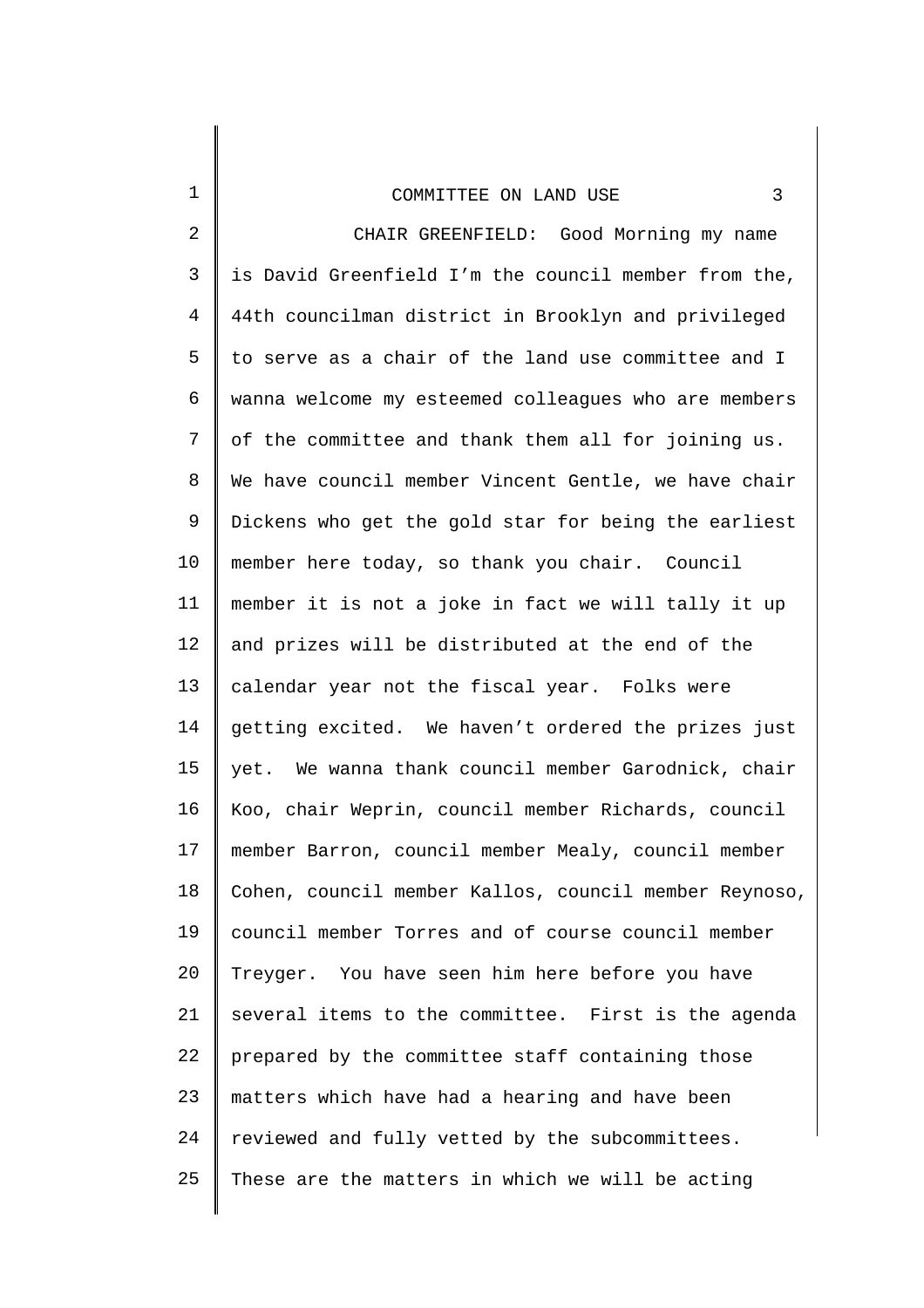| 1              | 3<br>COMMITTEE ON LAND USE                            |
|----------------|-------------------------------------------------------|
| $\overline{2}$ | CHAIR GREENFIELD: Good Morning my name                |
| 3              | is David Greenfield I'm the council member from the,  |
| 4              | 44th councilman district in Brooklyn and privileged   |
| 5              | to serve as a chair of the land use committee and I   |
| 6              | wanna welcome my esteemed colleagues who are members  |
| 7              | of the committee and thank them all for joining us.   |
| 8              | We have council member Vincent Gentle, we have chair  |
| 9              | Dickens who get the gold star for being the earliest  |
| 10             | member here today, so thank you chair. Council        |
| 11             | member it is not a joke in fact we will tally it up   |
| 12             | and prizes will be distributed at the end of the      |
| 13             | calendar year not the fiscal year. Folks were         |
| 14             | getting excited. We haven't ordered the prizes just   |
| 15             | yet. We wanna thank council member Garodnick, chair   |
| 16             | Koo, chair Weprin, council member Richards, council   |
| 17             | member Barron, council member Mealy, council member   |
| 18             | Cohen, council member Kallos, council member Reynoso, |
| 19             | council member Torres and of course council member    |
| 20             | Treyger. You have seen him here before you have       |
| 21             | several items to the committee. First is the agenda   |
| 22             | prepared by the committee staff containing those      |
| 23             | matters which have had a hearing and have been        |
| 24             | reviewed and fully vetted by the subcommittees.       |
| 25             | These are the matters in which we will be acting      |
|                |                                                       |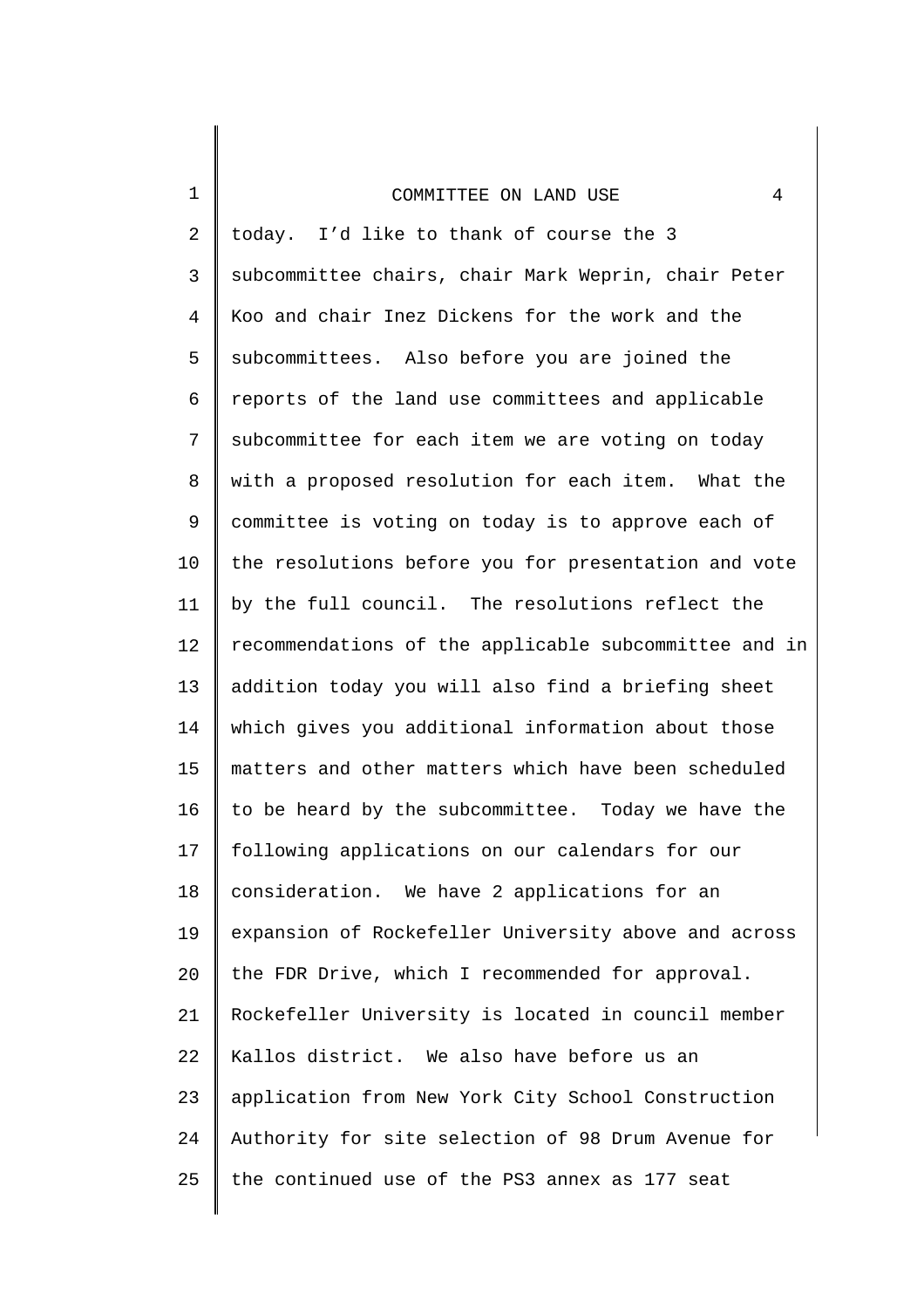1

2 3 4 5 6 7 8 9 10 11 12 13 14 15 16 17 18 19 20 21 22 23 24 25 today. I'd like to thank of course the 3 subcommittee chairs, chair Mark Weprin, chair Peter Koo and chair Inez Dickens for the work and the subcommittees. Also before you are joined the reports of the land use committees and applicable subcommittee for each item we are voting on today with a proposed resolution for each item. What the committee is voting on today is to approve each of the resolutions before you for presentation and vote by the full council. The resolutions reflect the recommendations of the applicable subcommittee and in addition today you will also find a briefing sheet which gives you additional information about those matters and other matters which have been scheduled to be heard by the subcommittee. Today we have the following applications on our calendars for our consideration. We have 2 applications for an expansion of Rockefeller University above and across the FDR Drive, which I recommended for approval. Rockefeller University is located in council member Kallos district. We also have before us an application from New York City School Construction Authority for site selection of 98 Drum Avenue for the continued use of the PS3 annex as 177 seat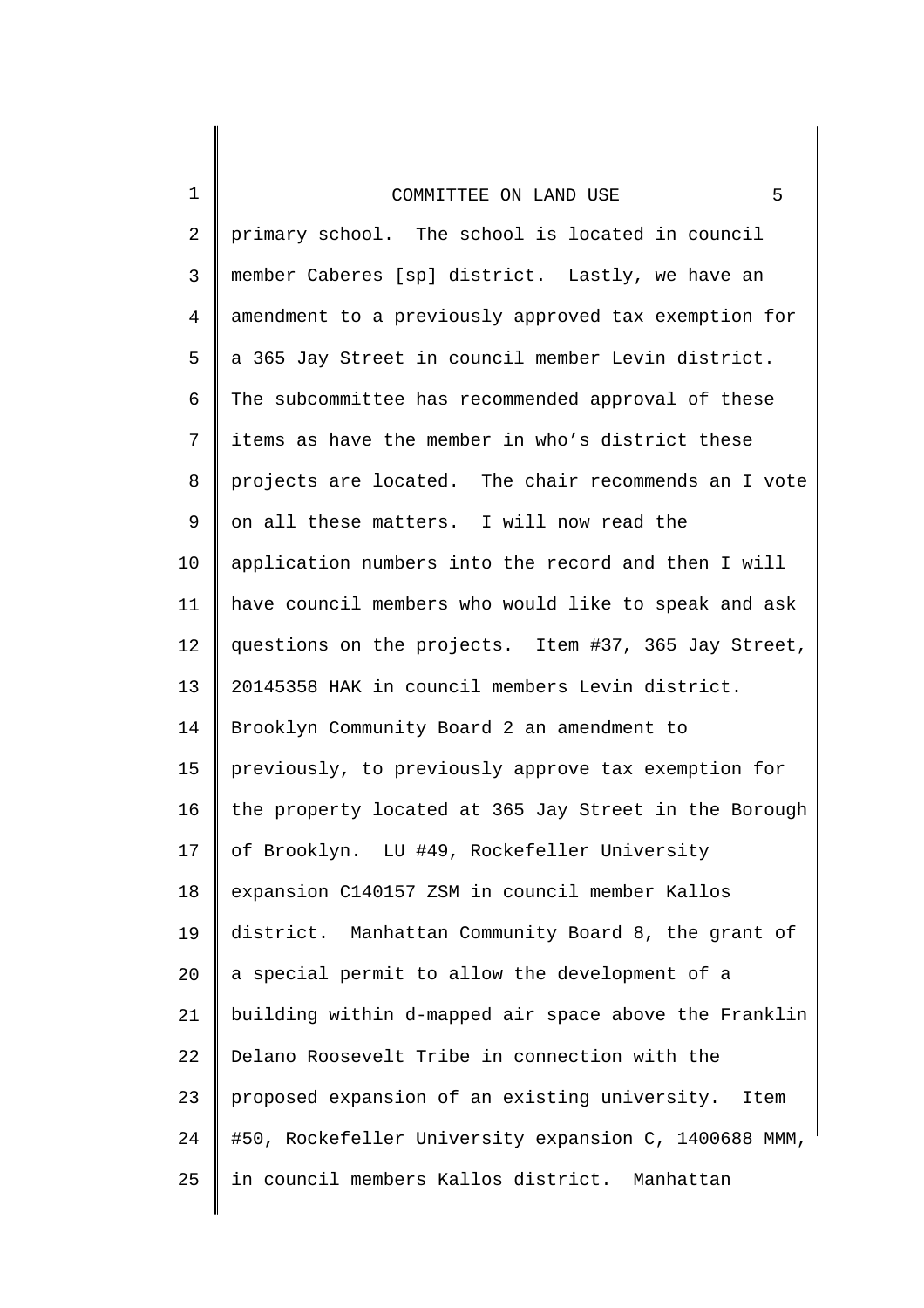1

2 3 4 5 6 7 8 9 10 11 12 13 14 15 16 17 18 19 20 21 22 23 24 25 primary school. The school is located in council member Caberes [sp] district. Lastly, we have an amendment to a previously approved tax exemption for a 365 Jay Street in council member Levin district. The subcommittee has recommended approval of these items as have the member in who's district these projects are located. The chair recommends an I vote on all these matters. I will now read the application numbers into the record and then I will have council members who would like to speak and ask questions on the projects. Item #37, 365 Jay Street, 20145358 HAK in council members Levin district. Brooklyn Community Board 2 an amendment to previously, to previously approve tax exemption for the property located at 365 Jay Street in the Borough of Brooklyn. LU #49, Rockefeller University expansion C140157 ZSM in council member Kallos district. Manhattan Community Board 8, the grant of a special permit to allow the development of a building within d-mapped air space above the Franklin Delano Roosevelt Tribe in connection with the proposed expansion of an existing university. Item #50, Rockefeller University expansion C, 1400688 MMM, in council members Kallos district. Manhattan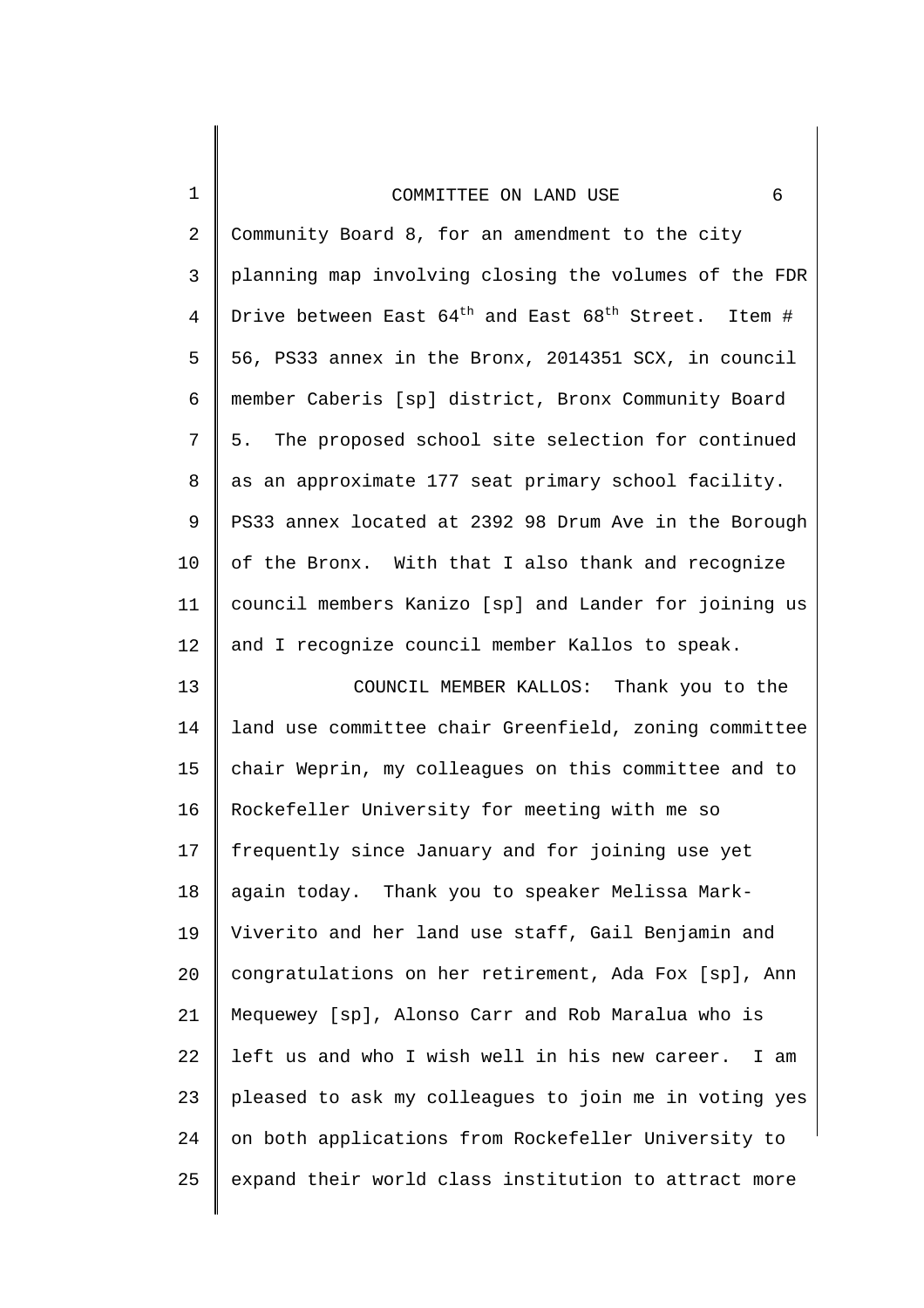1

25

2 3 4 5 6 7 8 9 10 11 12 13 14 15 16 17 18 19 20 21 22 23 24 Community Board 8, for an amendment to the city planning map involving closing the volumes of the FDR Drive between East  $64^{\text{th}}$  and East  $68^{\text{th}}$  Street. Item # 56, PS33 annex in the Bronx, 2014351 SCX, in council member Caberis [sp] district, Bronx Community Board 5. The proposed school site selection for continued as an approximate 177 seat primary school facility. PS33 annex located at 2392 98 Drum Ave in the Borough of the Bronx. With that I also thank and recognize council members Kanizo [sp] and Lander for joining us and I recognize council member Kallos to speak. COUNCIL MEMBER KALLOS: Thank you to the land use committee chair Greenfield, zoning committee chair Weprin, my colleagues on this committee and to Rockefeller University for meeting with me so frequently since January and for joining use yet again today. Thank you to speaker Melissa Mark-Viverito and her land use staff, Gail Benjamin and congratulations on her retirement, Ada Fox [sp], Ann Mequewey [sp], Alonso Carr and Rob Maralua who is left us and who I wish well in his new career. I am pleased to ask my colleagues to join me in voting yes on both applications from Rockefeller University to

expand their world class institution to attract more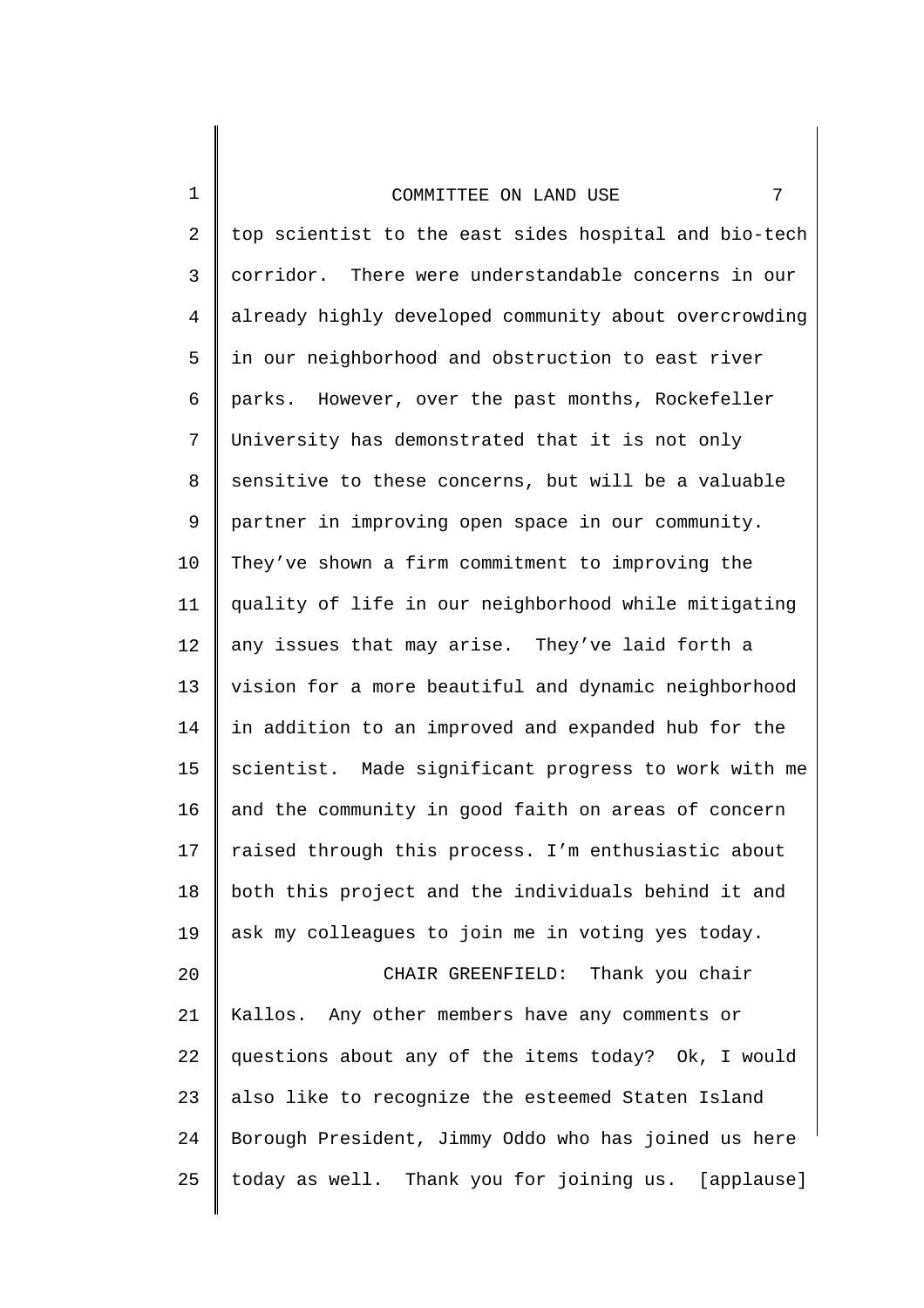2 3 4 5 6 7 8 9 10 11 12 13 14 15 16 17 18 19 20 21 22 23 24 25 top scientist to the east sides hospital and bio-tech corridor. There were understandable concerns in our already highly developed community about overcrowding in our neighborhood and obstruction to east river parks. However, over the past months, Rockefeller University has demonstrated that it is not only sensitive to these concerns, but will be a valuable partner in improving open space in our community. They've shown a firm commitment to improving the quality of life in our neighborhood while mitigating any issues that may arise. They've laid forth a vision for a more beautiful and dynamic neighborhood in addition to an improved and expanded hub for the scientist. Made significant progress to work with me and the community in good faith on areas of concern raised through this process. I'm enthusiastic about both this project and the individuals behind it and ask my colleagues to join me in voting yes today. CHAIR GREENFIELD: Thank you chair Kallos. Any other members have any comments or questions about any of the items today? Ok, I would also like to recognize the esteemed Staten Island Borough President, Jimmy Oddo who has joined us here today as well. Thank you for joining us. [applause]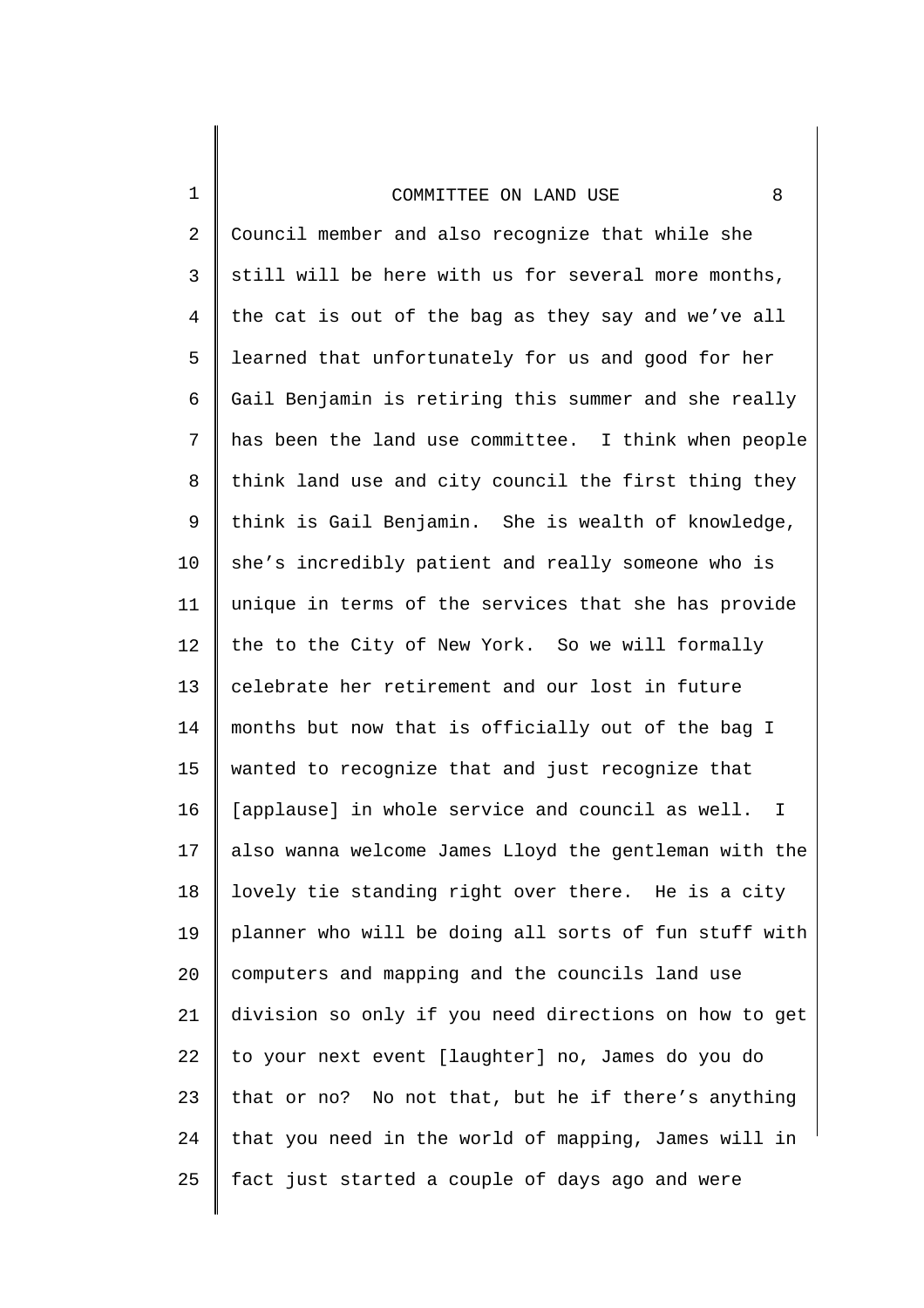1

2 3 4 5 6 7 8 9 10 11 12 13 14 15 16 17 18 19 20 21 22 23 24 25 Council member and also recognize that while she still will be here with us for several more months, the cat is out of the bag as they say and we've all learned that unfortunately for us and good for her Gail Benjamin is retiring this summer and she really has been the land use committee. I think when people think land use and city council the first thing they think is Gail Benjamin. She is wealth of knowledge, she's incredibly patient and really someone who is unique in terms of the services that she has provide the to the City of New York. So we will formally celebrate her retirement and our lost in future months but now that is officially out of the bag I wanted to recognize that and just recognize that [applause] in whole service and council as well. I also wanna welcome James Lloyd the gentleman with the lovely tie standing right over there. He is a city planner who will be doing all sorts of fun stuff with computers and mapping and the councils land use division so only if you need directions on how to get to your next event [laughter] no, James do you do that or no? No not that, but he if there's anything that you need in the world of mapping, James will in fact just started a couple of days ago and were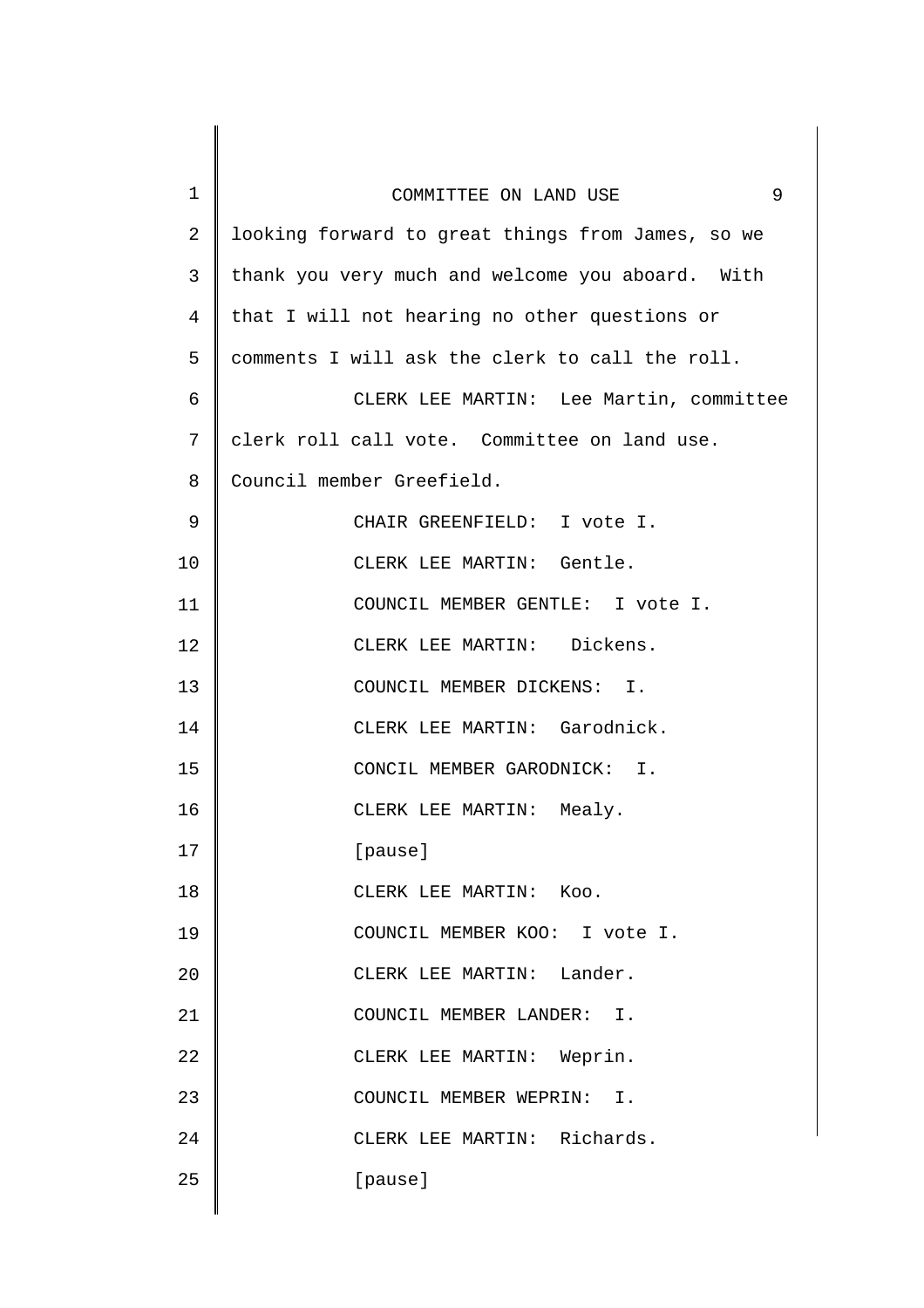| $\mathbf 1$    | 9<br>COMMITTEE ON LAND USE                        |
|----------------|---------------------------------------------------|
| $\overline{2}$ | looking forward to great things from James, so we |
| 3              | thank you very much and welcome you aboard. With  |
| $\overline{4}$ | that I will not hearing no other questions or     |
| 5              | comments I will ask the clerk to call the roll.   |
| 6              | CLERK LEE MARTIN: Lee Martin, committee           |
| 7              | clerk roll call vote. Committee on land use.      |
| 8              | Council member Greefield.                         |
| 9              | CHAIR GREENFIELD: I vote I.                       |
| 10             | CLERK LEE MARTIN: Gentle.                         |
| 11             | COUNCIL MEMBER GENTLE: I vote I.                  |
| 12             | CLERK LEE MARTIN: Dickens.                        |
| 13             | COUNCIL MEMBER DICKENS: I.                        |
| 14             | CLERK LEE MARTIN: Garodnick.                      |
| 15             | CONCIL MEMBER GARODNICK: I.                       |
| 16             | CLERK LEE MARTIN:<br>Mealy.                       |
| 17             | [pause]                                           |
| 18             | CLERK LEE MARTIN: KOO.                            |
| 19             | COUNCIL MEMBER KOO: I vote I.                     |
| 20             | CLERK LEE MARTIN: Lander.                         |
| 21             | COUNCIL MEMBER LANDER: I.                         |
| 22             | CLERK LEE MARTIN: Weprin.                         |
| 23             | COUNCIL MEMBER WEPRIN: I.                         |
| 24             | CLERK LEE MARTIN: Richards.                       |
| 25             | [pause]                                           |
|                |                                                   |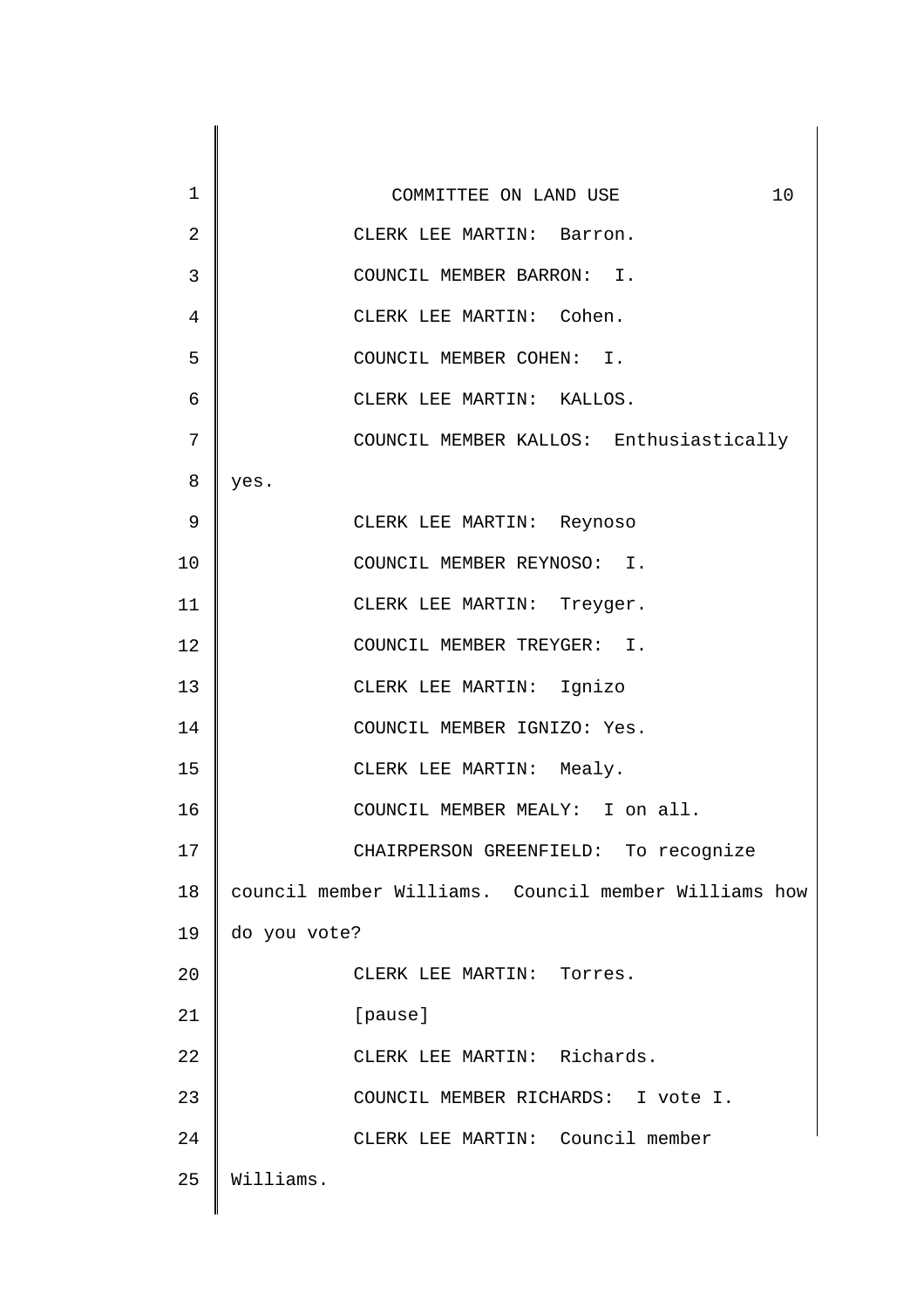| $\mathbf 1$    | 10<br>COMMITTEE ON LAND USE                          |
|----------------|------------------------------------------------------|
| $\overline{2}$ | CLERK LEE MARTIN: Barron.                            |
| 3              | COUNCIL MEMBER BARRON: I.                            |
| 4              | CLERK LEE MARTIN: Cohen.                             |
| 5              | COUNCIL MEMBER COHEN: I.                             |
| 6              | CLERK LEE MARTIN: KALLOS.                            |
| 7              | COUNCIL MEMBER KALLOS: Enthusiastically              |
| 8              | yes.                                                 |
| 9              | CLERK LEE MARTIN: Reynoso                            |
| 10             | COUNCIL MEMBER REYNOSO: I.                           |
| 11             | CLERK LEE MARTIN: Treyger.                           |
| 12             | COUNCIL MEMBER TREYGER: I.                           |
| 13             | CLERK LEE MARTIN: Ignizo                             |
| 14             | COUNCIL MEMBER IGNIZO: Yes.                          |
| 15             | CLERK LEE MARTIN: Mealy.                             |
| 16             | COUNCIL MEMBER MEALY: I on all.                      |
| 17             | CHAIRPERSON GREENFIELD: To recognize                 |
| 18             | council member Williams. Council member Williams how |
| 19             | do you vote?                                         |
| 20             | CLERK LEE MARTIN: Torres.                            |
| 21             | [pause]                                              |
| 22             | CLERK LEE MARTIN: Richards.                          |
| 23             | COUNCIL MEMBER RICHARDS: I vote I.                   |
| 24             | CLERK LEE MARTIN: Council member                     |
| 25             | Williams.                                            |
|                |                                                      |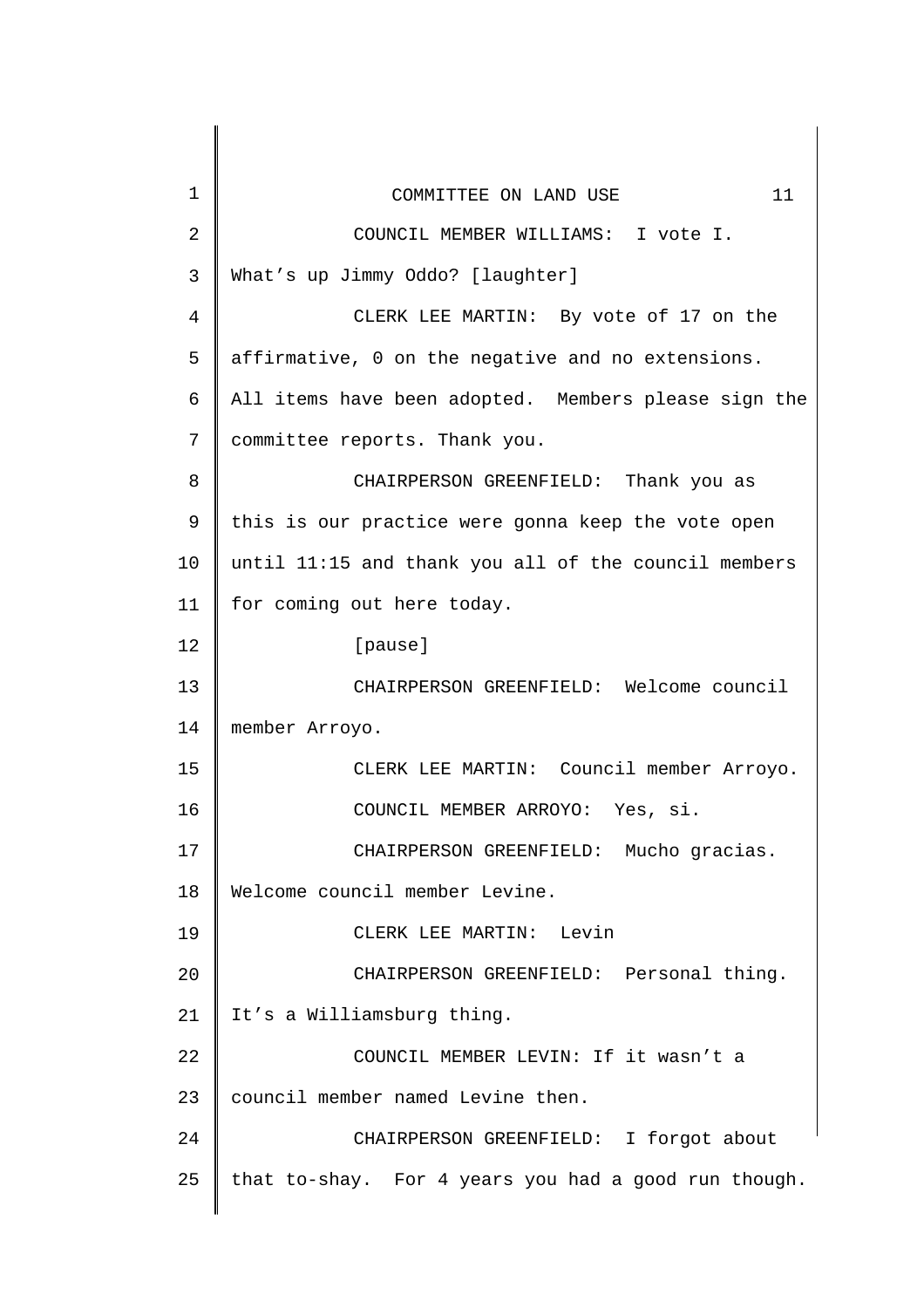| $\mathbf 1$    | 11<br>COMMITTEE ON LAND USE                          |
|----------------|------------------------------------------------------|
| $\overline{2}$ | COUNCIL MEMBER WILLIAMS: I vote I.                   |
| $\mathsf{3}$   | What's up Jimmy Oddo? [laughter]                     |
| $\overline{4}$ | CLERK LEE MARTIN: By vote of 17 on the               |
| 5              | affirmative, 0 on the negative and no extensions.    |
| 6              | All items have been adopted. Members please sign the |
| 7              | committee reports. Thank you.                        |
| 8              | CHAIRPERSON GREENFIELD: Thank you as                 |
| 9              | this is our practice were gonna keep the vote open   |
| 10             | until 11:15 and thank you all of the council members |
| 11             | for coming out here today.                           |
| 12             | [pause]                                              |
| 13             | CHAIRPERSON GREENFIELD: Welcome council              |
| 14             | member Arroyo.                                       |
| 15             | CLERK LEE MARTIN: Council member Arroyo.             |
| 16             | COUNCIL MEMBER ARROYO:<br>Yes, si.                   |
| 17             | CHAIRPERSON GREENFIELD: Mucho gracias.               |
| 18             | Welcome council member Levine.                       |
| 19             | CLERK LEE MARTIN: Levin                              |
| 20             | CHAIRPERSON GREENFIELD: Personal thing.              |
| 21             | It's a Williamsburg thing.                           |
| 22             | COUNCIL MEMBER LEVIN: If it wasn't a                 |
| 23             | council member named Levine then.                    |
| 24             | CHAIRPERSON GREENFIELD: I forgot about               |
| 25             | that to-shay. For 4 years you had a good run though. |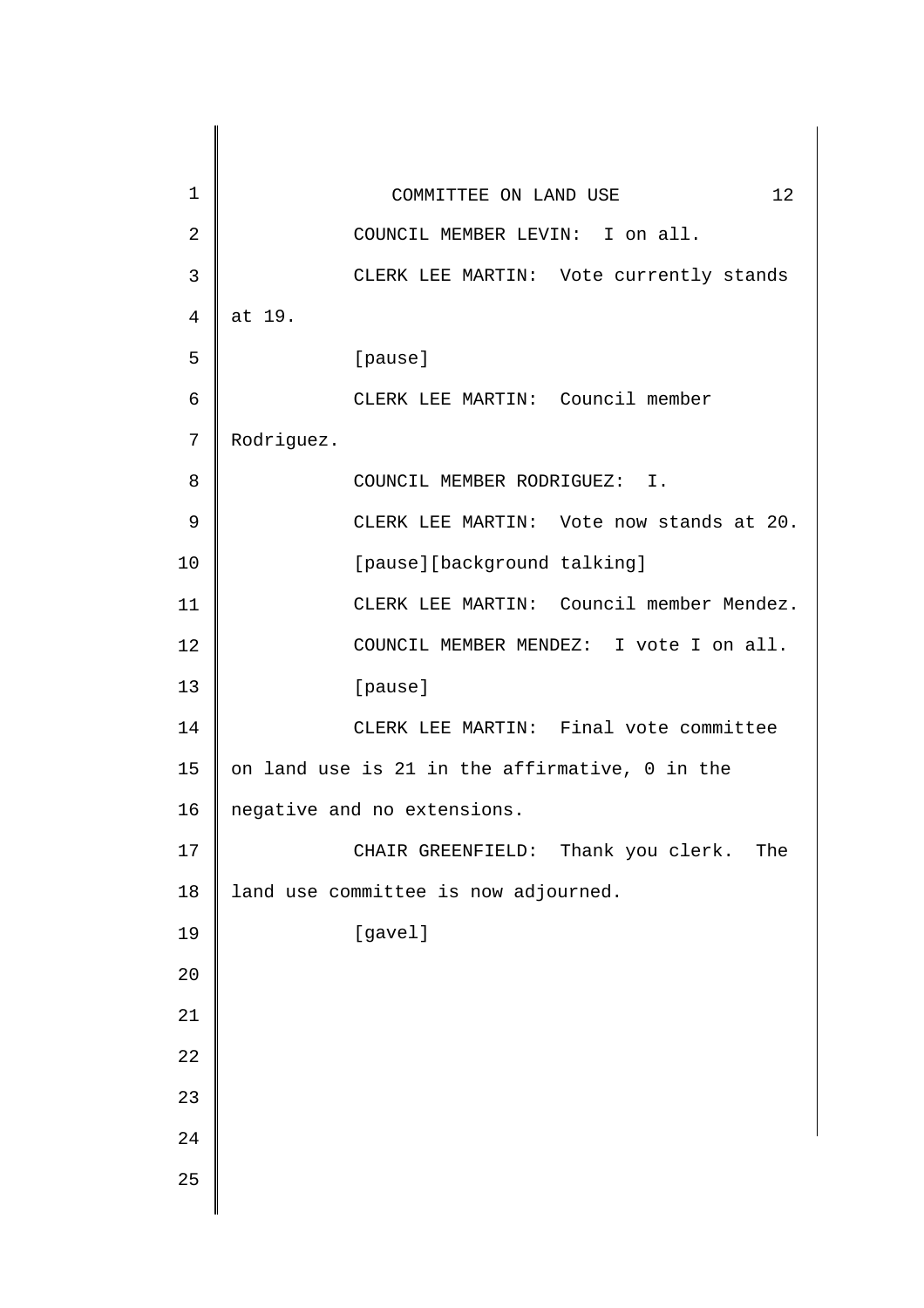| 1              | 12<br>COMMITTEE ON LAND USE                    |
|----------------|------------------------------------------------|
| $\overline{2}$ | COUNCIL MEMBER LEVIN: I on all.                |
| 3              | CLERK LEE MARTIN: Vote currently stands        |
| 4              | at 19.                                         |
| 5              | [pause]                                        |
| 6              | CLERK LEE MARTIN: Council member               |
| 7              | Rodriguez.                                     |
| 8              | COUNCIL MEMBER RODRIGUEZ: I.                   |
| 9              | CLERK LEE MARTIN: Vote now stands at 20.       |
| 10             | [pause][background talking]                    |
| 11             | CLERK LEE MARTIN: Council member Mendez.       |
| 12             | COUNCIL MEMBER MENDEZ: I vote I on all.        |
| 13             | [pause]                                        |
| 14             | CLERK LEE MARTIN: Final vote committee         |
| 15             | on land use is 21 in the affirmative, 0 in the |
| 16             | negative and no extensions.                    |
| 17             | CHAIR GREENFIELD: Thank you clerk.<br>The      |
| 18             | land use committee is now adjourned.           |
| 19             | [gavel]                                        |
| 20             |                                                |
|                |                                                |
|                |                                                |
|                |                                                |
| 24             |                                                |
| 25             |                                                |
| 21<br>22<br>23 |                                                |